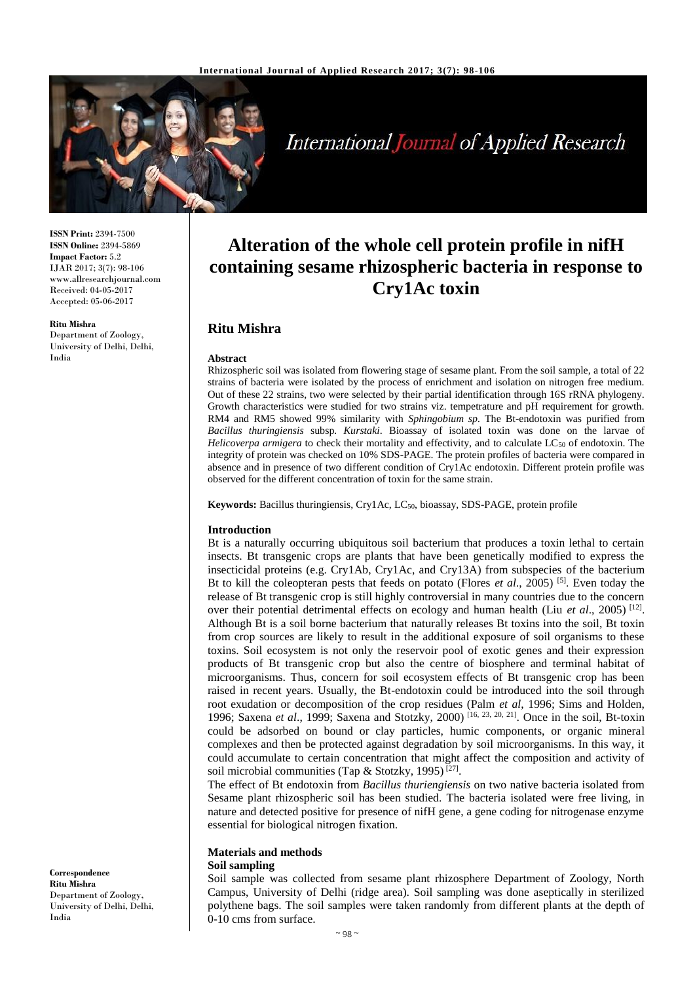

**International Journal of Applied Research** 

**ISSN Print:** 2394-7500 **ISSN Online:** 2394-5869 **Impact Factor:** 5.2 IJAR 2017; 3(7): 98-106 www.allresearchjournal.com Received: 04-05-2017 Accepted: 05-06-2017

**Ritu Mishra**

Department of Zoology, University of Delhi, Delhi, India

# **Alteration of the whole cell protein profile in nifH containing sesame rhizospheric bacteria in response to Cry1Ac toxin**

## **Ritu Mishra**

#### **Abstract**

Rhizospheric soil was isolated from flowering stage of sesame plant. From the soil sample, a total of 22 strains of bacteria were isolated by the process of enrichment and isolation on nitrogen free medium. Out of these 22 strains, two were selected by their partial identification through 16S rRNA phylogeny. Growth characteristics were studied for two strains viz. tempetrature and pH requirement for growth. RM4 and RM5 showed 99% similarity with *Sphingobium sp.* The Bt-endotoxin was purified from *Bacillus thuringiensis* subsp*. Kurstaki*. Bioassay of isolated toxin was done on the larvae of *Helicoverpa armigera* to check their mortality and effectivity, and to calculate LC<sub>50</sub> of endotoxin. The integrity of protein was checked on 10% SDS-PAGE. The protein profiles of bacteria were compared in absence and in presence of two different condition of Cry1Ac endotoxin. Different protein profile was observed for the different concentration of toxin for the same strain.

**Keywords:** Bacillus thuringiensis, Cry1Ac, LC50, bioassay, SDS-PAGE, protein profile

#### **Introduction**

Bt is a naturally occurring ubiquitous soil bacterium that produces a toxin lethal to certain insects. Bt transgenic crops are plants that have been genetically modified to express the insecticidal proteins (e.g. Cry1Ab, Cry1Ac, and Cry13A) from subspecies of the bacterium Bt to kill the coleopteran pests that feeds on potato (Flores *et al*., 2005) [5]. Even today the release of Bt transgenic crop is still highly controversial in many countries due to the concern over their potential detrimental effects on ecology and human health (Liu *et al.*, 2005)<sup>[12]</sup>. Although Bt is a soil borne bacterium that naturally releases Bt toxins into the soil, Bt toxin from crop sources are likely to result in the additional exposure of soil organisms to these toxins. Soil ecosystem is not only the reservoir pool of exotic genes and their expression products of Bt transgenic crop but also the centre of biosphere and terminal habitat of microorganisms. Thus, concern for soil ecosystem effects of Bt transgenic crop has been raised in recent years. Usually, the Bt-endotoxin could be introduced into the soil through root exudation or decomposition of the crop residues (Palm *et al*, 1996; Sims and Holden, 1996; Saxena *et al*., 1999; Saxena and Stotzky, 2000) [16, 23, 20, 21] . Once in the soil, Bt-toxin could be adsorbed on bound or clay particles, humic components, or organic mineral complexes and then be protected against degradation by soil microorganisms. In this way, it could accumulate to certain concentration that might affect the composition and activity of soil microbial communities (Tap & Stotzky, 1995)<sup>[27]</sup>.

The effect of Bt endotoxin from *Bacillus thuriengiensis* on two native bacteria isolated from Sesame plant rhizospheric soil has been studied. The bacteria isolated were free living, in nature and detected positive for presence of nifH gene, a gene coding for nitrogenase enzyme essential for biological nitrogen fixation.

## **Materials and methods**

## **Soil sampling**

Soil sample was collected from sesame plant rhizosphere Department of Zoology, North Campus, University of Delhi (ridge area). Soil sampling was done aseptically in sterilized polythene bags. The soil samples were taken randomly from different plants at the depth of 0-10 cms from surface.

**Correspondence Ritu Mishra** Department of Zoology, University of Delhi, Delhi, India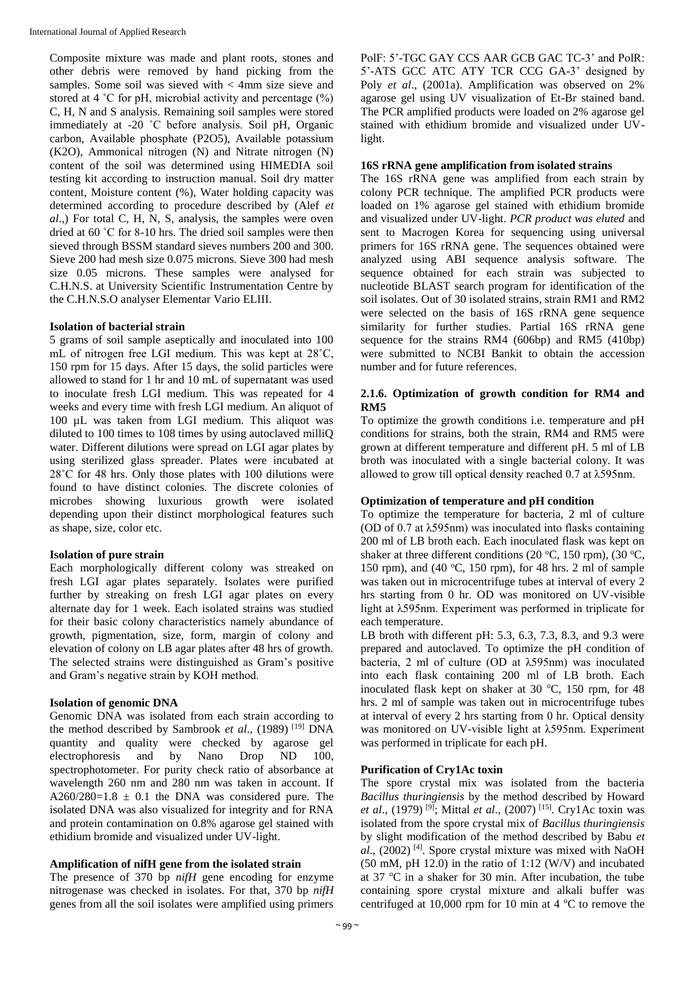Composite mixture was made and plant roots, stones and other debris were removed by hand picking from the samples. Some soil was sieved with < 4mm size sieve and stored at 4  $\degree$ C for pH, microbial activity and percentage  $(\% )$ C, H, N and S analysis. Remaining soil samples were stored immediately at -20 ˚C before analysis. Soil pH, Organic carbon, Available phosphate (P2O5), Available potassium (K2O), Ammonical nitrogen (N) and Nitrate nitrogen (N) content of the soil was determined using HIMEDIA soil testing kit according to instruction manual. Soil dry matter content, Moisture content (%), Water holding capacity was determined according to procedure described by (Alef *et al*.,) For total C, H, N, S, analysis, the samples were oven dried at 60 ˚C for 8-10 hrs. The dried soil samples were then sieved through BSSM standard sieves numbers 200 and 300. Sieve 200 had mesh size 0.075 microns. Sieve 300 had mesh size 0.05 microns. These samples were analysed for C.H.N.S. at University Scientific Instrumentation Centre by the C.H.N.S.O analyser Elementar Vario ELIII.

#### **Isolation of bacterial strain**

5 grams of soil sample aseptically and inoculated into 100 mL of nitrogen free LGI medium. This was kept at 28˚C, 150 rpm for 15 days. After 15 days, the solid particles were allowed to stand for 1 hr and 10 mL of supernatant was used to inoculate fresh LGI medium. This was repeated for 4 weeks and every time with fresh LGI medium. An aliquot of 100 µL was taken from LGI medium. This aliquot was diluted to 100 times to 108 times by using autoclaved milliQ water. Different dilutions were spread on LGI agar plates by using sterilized glass spreader. Plates were incubated at 28˚C for 48 hrs. Only those plates with 100 dilutions were found to have distinct colonies. The discrete colonies of microbes showing luxurious growth were isolated depending upon their distinct morphological features such as shape, size, color etc.

## **Isolation of pure strain**

Each morphologically different colony was streaked on fresh LGI agar plates separately. Isolates were purified further by streaking on fresh LGI agar plates on every alternate day for 1 week. Each isolated strains was studied for their basic colony characteristics namely abundance of growth, pigmentation, size, form, margin of colony and elevation of colony on LB agar plates after 48 hrs of growth. The selected strains were distinguished as Gram's positive and Gram's negative strain by KOH method.

## **Isolation of genomic DNA**

Genomic DNA was isolated from each strain according to the method described by Sambrook et al., (1989)<sup>[19]</sup> DNA quantity and quality were checked by agarose gel electrophoresis and by Nano Drop ND 100, spectrophotometer. For purity check ratio of absorbance at wavelength 260 nm and 280 nm was taken in account. If A260/280=1.8  $\pm$  0.1 the DNA was considered pure. The isolated DNA was also visualized for integrity and for RNA and protein contamination on 0.8% agarose gel stained with ethidium bromide and visualized under UV-light.

## **Amplification of nifH gene from the isolated strain**

The presence of 370 bp *nifH* gene encoding for enzyme nitrogenase was checked in isolates. For that, 370 bp *nifH* genes from all the soil isolates were amplified using primers PolF: 5'-TGC GAY CCS AAR GCB GAC TC-3' and PolR: 5'-ATS GCC ATC ATY TCR CCG GA-3' designed by Poly *et al*., (2001a). Amplification was observed on 2% agarose gel using UV visualization of Et-Br stained band. The PCR amplified products were loaded on 2% agarose gel stained with ethidium bromide and visualized under UVlight.

#### **16S rRNA gene amplification from isolated strains**

The 16S rRNA gene was amplified from each strain by colony PCR technique. The amplified PCR products were loaded on 1% agarose gel stained with ethidium bromide and visualized under UV-light. *PCR product was eluted* and sent to Macrogen Korea for sequencing using universal primers for 16S rRNA gene. The sequences obtained were analyzed using ABI sequence analysis software. The sequence obtained for each strain was subjected to nucleotide BLAST search program for identification of the soil isolates. Out of 30 isolated strains, strain RM1 and RM2 were selected on the basis of 16S rRNA gene sequence similarity for further studies. Partial 16S rRNA gene sequence for the strains RM4 (606bp) and RM5 (410bp) were submitted to NCBI Bankit to obtain the accession number and for future references.

#### **2.1.6. Optimization of growth condition for RM4 and RM5**

To optimize the growth conditions i.e. temperature and pH conditions for strains, both the strain, RM4 and RM5 were grown at different temperature and different pH. 5 ml of LB broth was inoculated with a single bacterial colony. It was allowed to grow till optical density reached 0.7 at λ595nm.

## **Optimization of temperature and pH condition**

To optimize the temperature for bacteria, 2 ml of culture (OD of 0.7 at λ595nm) was inoculated into flasks containing 200 ml of LB broth each. Each inoculated flask was kept on shaker at three different conditions (20  $\rm{°C}$ , 150 rpm), (30  $\rm{°C}$ , 150 rpm), and (40 °C, 150 rpm), for 48 hrs. 2 ml of sample was taken out in microcentrifuge tubes at interval of every 2 hrs starting from 0 hr. OD was monitored on UV-visible light at λ595nm. Experiment was performed in triplicate for each temperature.

LB broth with different pH: 5.3, 6.3, 7.3, 8.3, and 9.3 were prepared and autoclaved. To optimize the pH condition of bacteria, 2 ml of culture (OD at λ595nm) was inoculated into each flask containing 200 ml of LB broth. Each inoculated flask kept on shaker at 30  $^{\circ}$ C, 150 rpm, for 48 hrs. 2 ml of sample was taken out in microcentrifuge tubes at interval of every 2 hrs starting from 0 hr. Optical density was monitored on UV-visible light at λ595nm. Experiment was performed in triplicate for each pH.

## **Purification of Cry1Ac toxin**

The spore crystal mix was isolated from the bacteria *Bacillus thuringiensis* by the method described by Howard *et al.*, (1979)<sup>[9]</sup>; Mittal *et al.*, (2007)<sup>[15]</sup>. Cry1Ac toxin was isolated from the spore crystal mix of *Bacillus thuringiensis* by slight modification of the method described by Babu *et al*., (2002) [4] . Spore crystal mixture was mixed with NaOH  $(50 \text{ mM}, \text{pH } 12.0)$  in the ratio of 1:12 (W/V) and incubated at  $37 \text{ °C}$  in a shaker for  $30 \text{ min}$ . After incubation, the tube containing spore crystal mixture and alkali buffer was centrifuged at 10,000 rpm for 10 min at 4  $\degree$ C to remove the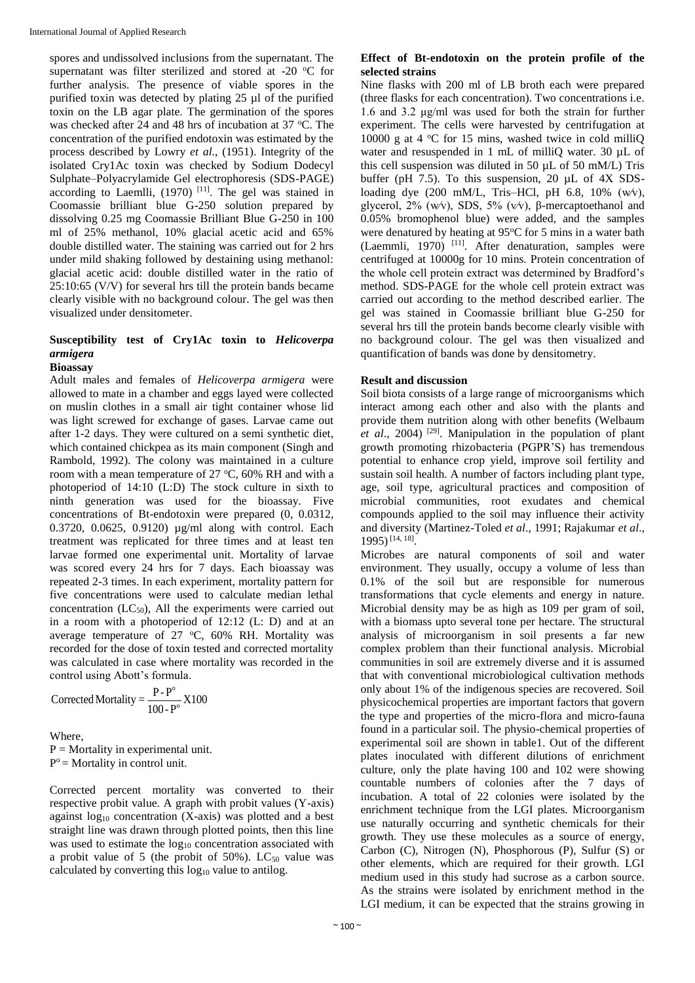spores and undissolved inclusions from the supernatant. The supernatant was filter sterilized and stored at -20  $\,^{\circ}$ C for further analysis. The presence of viable spores in the purified toxin was detected by plating 25 µl of the purified toxin on the LB agar plate. The germination of the spores was checked after 24 and 48 hrs of incubation at 37 °C. The concentration of the purified endotoxin was estimated by the process described by Lowry *et al*., (1951). Integrity of the isolated Cry1Ac toxin was checked by Sodium Dodecyl Sulphate–Polyacrylamide Gel electrophoresis (SDS-PAGE) according to Laemlli,  $(1970)$ <sup>[11]</sup>. The gel was stained in Coomassie brilliant blue G-250 solution prepared by dissolving 0.25 mg Coomassie Brilliant Blue G-250 in 100 ml of 25% methanol, 10% glacial acetic acid and 65% double distilled water. The staining was carried out for 2 hrs under mild shaking followed by destaining using methanol: glacial acetic acid: double distilled water in the ratio of 25:10:65 (V/V) for several hrs till the protein bands became clearly visible with no background colour. The gel was then visualized under densitometer.

#### **Susceptibility test of Cry1Ac toxin to** *Helicoverpa armigera* **Bioassay**

Adult males and females of *Helicoverpa armigera* were allowed to mate in a chamber and eggs layed were collected on muslin clothes in a small air tight container whose lid was light screwed for exchange of gases. Larvae came out after 1-2 days. They were cultured on a semi synthetic diet, which contained chickpea as its main component (Singh and Rambold, 1992). The colony was maintained in a culture room with a mean temperature of  $27 \text{ °C}$ , 60% RH and with a photoperiod of 14:10 (L:D) The stock culture in sixth to ninth generation was used for the bioassay. Five concentrations of Bt-endotoxin were prepared (0, 0.0312, 0.3720, 0.0625, 0.9120) µg/ml along with control. Each treatment was replicated for three times and at least ten larvae formed one experimental unit. Mortality of larvae was scored every 24 hrs for 7 days. Each bioassay was repeated 2-3 times. In each experiment, mortality pattern for five concentrations were used to calculate median lethal concentration  $(LC_{50})$ , All the experiments were carried out in a room with a photoperiod of 12:12 (L: D) and at an average temperature of  $27 \text{ °C}$ ,  $60\%$  RH. Mortality was recorded for the dose of toxin tested and corrected mortality was calculated in case where mortality was recorded in the control using Abott's formula.

o Corrected Mortality =  $\frac{P - P^{\circ}}{100 - P^{\circ}} X100$ 

Where,  $P =$  Mortality in experimental unit.  $P<sup>o</sup>$  = Mortality in control unit.

Corrected percent mortality was converted to their respective probit value. A graph with probit values (Y-axis) against log<sup>10</sup> concentration (X-axis) was plotted and a best straight line was drawn through plotted points, then this line was used to estimate the  $log_{10}$  concentration associated with a probit value of 5 (the probit of  $50\%$ ). LC<sub>50</sub> value was calculated by converting this  $log_{10}$  value to antilog.

#### **Effect of Bt-endotoxin on the protein profile of the selected strains**

Nine flasks with 200 ml of LB broth each were prepared (three flasks for each concentration). Two concentrations i.e. 1.6 and 3.2 μg/ml was used for both the strain for further experiment. The cells were harvested by centrifugation at 10000 g at 4  $\degree$ C for 15 mins, washed twice in cold milliQ water and resuspended in 1 mL of milliQ water. 30 µL of this cell suspension was diluted in 50 µL of 50 mM/L) Tris buffer (pH 7.5). To this suspension, 20  $\mu$ L of 4X SDSloading dye (200 mM/L, Tris–HCl, pH 6.8, 10% (w⁄v), glycerol, 2% (w⁄v), SDS, 5% (v⁄v), β-mercaptoethanol and 0.05% bromophenol blue) were added, and the samples were denatured by heating at  $95^{\circ}$ C for 5 mins in a water bath  $(Laemmi, 1970)$ <sup>[11]</sup>. After denaturation, samples were centrifuged at 10000g for 10 mins. Protein concentration of the whole cell protein extract was determined by Bradford's method. SDS-PAGE for the whole cell protein extract was carried out according to the method described earlier. The gel was stained in Coomassie brilliant blue G-250 for several hrs till the protein bands become clearly visible with no background colour. The gel was then visualized and quantification of bands was done by densitometry.

#### **Result and discussion**

Soil biota consists of a large range of microorganisms which interact among each other and also with the plants and provide them nutrition along with other benefits (Welbaum et al., 2004)<sup>[29]</sup>. Manipulation in the population of plant growth promoting rhizobacteria (PGPR'S) has tremendous potential to enhance crop yield, improve soil fertility and sustain soil health. A number of factors including plant type, age, soil type, agricultural practices and composition of microbial communities, root exudates and chemical compounds applied to the soil may influence their activity and diversity (Martinez-Toled *et al*., 1991; Rajakumar *et al*., 1995) [14, 18] .

Microbes are natural components of soil and water environment. They usually, occupy a volume of less than 0.1% of the soil but are responsible for numerous transformations that cycle elements and energy in nature. Microbial density may be as high as 109 per gram of soil, with a biomass upto several tone per hectare. The structural analysis of microorganism in soil presents a far new complex problem than their functional analysis. Microbial communities in soil are extremely diverse and it is assumed that with conventional microbiological cultivation methods only about 1% of the indigenous species are recovered. Soil physicochemical properties are important factors that govern the type and properties of the micro-flora and micro-fauna found in a particular soil. The physio-chemical properties of experimental soil are shown in table1. Out of the different plates inoculated with different dilutions of enrichment culture, only the plate having 100 and 102 were showing countable numbers of colonies after the 7 days of incubation. A total of 22 colonies were isolated by the enrichment technique from the LGI plates. Microorganism use naturally occurring and synthetic chemicals for their growth. They use these molecules as a source of energy, Carbon (C), Nitrogen (N), Phosphorous (P), Sulfur (S) or other elements, which are required for their growth. LGI medium used in this study had sucrose as a carbon source. As the strains were isolated by enrichment method in the LGI medium, it can be expected that the strains growing in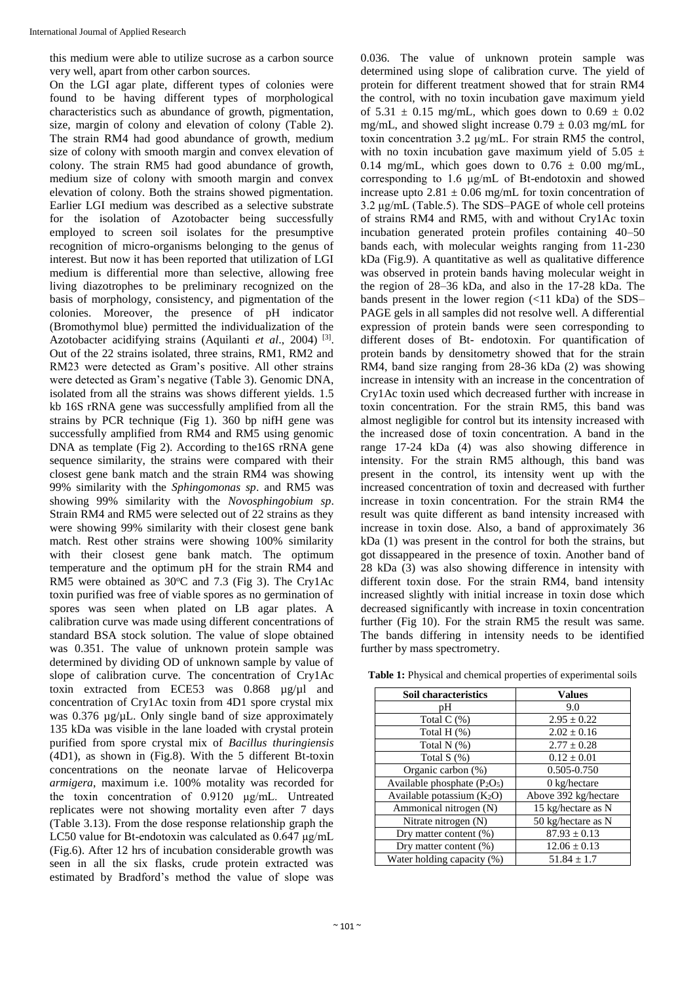this medium were able to utilize sucrose as a carbon source very well, apart from other carbon sources.

On the LGI agar plate, different types of colonies were found to be having different types of morphological characteristics such as abundance of growth, pigmentation, size, margin of colony and elevation of colony (Table 2). The strain RM4 had good abundance of growth, medium size of colony with smooth margin and convex elevation of colony. The strain RM5 had good abundance of growth, medium size of colony with smooth margin and convex elevation of colony. Both the strains showed pigmentation. Earlier LGI medium was described as a selective substrate for the isolation of Azotobacter being successfully employed to screen soil isolates for the presumptive recognition of micro-organisms belonging to the genus of interest. But now it has been reported that utilization of LGI medium is differential more than selective, allowing free living diazotrophes to be preliminary recognized on the basis of morphology, consistency, and pigmentation of the colonies. Moreover, the presence of pH indicator (Bromothymol blue) permitted the individualization of the Azotobacter acidifying strains (Aquilanti *et al.*, 2004)<sup>[3]</sup>. Out of the 22 strains isolated, three strains, RM1, RM2 and RM23 were detected as Gram's positive. All other strains were detected as Gram's negative (Table 3). Genomic DNA, isolated from all the strains was shows different yields. 1.5 kb 16S rRNA gene was successfully amplified from all the strains by PCR technique (Fig 1). 360 bp nifH gene was successfully amplified from RM4 and RM5 using genomic DNA as template (Fig 2). According to the 16S rRNA gene sequence similarity, the strains were compared with their closest gene bank match and the strain RM4 was showing 99% similarity with the *Sphingomonas sp*. and RM5 was showing 99% similarity with the *Novosphingobium sp*. Strain RM4 and RM5 were selected out of 22 strains as they were showing 99% similarity with their closest gene bank match. Rest other strains were showing 100% similarity with their closest gene bank match. The optimum temperature and the optimum pH for the strain RM4 and RM5 were obtained as  $30^{\circ}$ C and 7.3 (Fig 3). The Cry1Ac toxin purified was free of viable spores as no germination of spores was seen when plated on LB agar plates. A calibration curve was made using different concentrations of standard BSA stock solution. The value of slope obtained was 0.351. The value of unknown protein sample was determined by dividing OD of unknown sample by value of slope of calibration curve. The concentration of Cry1Ac toxin extracted from ECE53 was 0.868 µg/µl and concentration of Cry1Ac toxin from 4D1 spore crystal mix was 0.376  $\mu$ g/ $\mu$ L. Only single band of size approximately 135 kDa was visible in the lane loaded with crystal protein purified from spore crystal mix of *Bacillus thuringiensis* (4D1), as shown in (Fig.8). With the 5 different Bt-toxin concentrations on the neonate larvae of Helicoverpa *armigera*, maximum i.e. 100% motality was recorded for the toxin concentration of 0.9120 μg/mL. Untreated replicates were not showing mortality even after 7 days (Table 3.13). From the dose response relationship graph the LC50 value for Bt-endotoxin was calculated as 0.647 μg/mL (Fig.6). After 12 hrs of incubation considerable growth was seen in all the six flasks, crude protein extracted was estimated by Bradford's method the value of slope was 0.036. The value of unknown protein sample was determined using slope of calibration curve. The yield of protein for different treatment showed that for strain RM4 the control, with no toxin incubation gave maximum yield of 5.31  $\pm$  0.15 mg/mL, which goes down to 0.69  $\pm$  0.02 mg/mL, and showed slight increase  $0.79 \pm 0.03$  mg/mL for toxin concentration 3.2 μg/mL. For strain RM5 the control, with no toxin incubation gave maximum yield of  $5.05 \pm$ 0.14 mg/mL, which goes down to  $0.76 \pm 0.00$  mg/mL, corresponding to 1.6 μg/mL of Bt-endotoxin and showed increase upto  $2.81 \pm 0.06$  mg/mL for toxin concentration of 3.2 μg/mL (Table.5). The SDS–PAGE of whole cell proteins of strains RM4 and RM5, with and without Cry1Ac toxin incubation generated protein profiles containing 40–50 bands each, with molecular weights ranging from 11-230 kDa (Fig.9). A quantitative as well as qualitative difference was observed in protein bands having molecular weight in the region of 28–36 kDa, and also in the 17-28 kDa. The bands present in the lower region (<11 kDa) of the SDS– PAGE gels in all samples did not resolve well. A differential expression of protein bands were seen corresponding to different doses of Bt- endotoxin. For quantification of protein bands by densitometry showed that for the strain RM4, band size ranging from 28-36 kDa (2) was showing increase in intensity with an increase in the concentration of Cry1Ac toxin used which decreased further with increase in toxin concentration. For the strain RM5, this band was almost negligible for control but its intensity increased with the increased dose of toxin concentration. A band in the range 17-24 kDa (4) was also showing difference in intensity. For the strain RM5 although, this band was present in the control, its intensity went up with the increased concentration of toxin and decreased with further increase in toxin concentration. For the strain RM4 the result was quite different as band intensity increased with increase in toxin dose. Also, a band of approximately 36 kDa (1) was present in the control for both the strains, but got dissappeared in the presence of toxin. Another band of 28 kDa (3) was also showing difference in intensity with different toxin dose. For the strain RM4, band intensity increased slightly with initial increase in toxin dose which decreased significantly with increase in toxin concentration further (Fig 10). For the strain RM5 the result was same. The bands differing in intensity needs to be identified further by mass spectrometry.

| <b>Soil characteristics</b>                          | <b>Values</b>          |
|------------------------------------------------------|------------------------|
| pH                                                   | 9.0                    |
| Total $C(\%)$                                        | $2.95 \pm 0.22$        |
| Total H $(\%)$                                       | $2.02 \pm 0.16$        |
| Total $N$ (%)                                        | $2.77 \pm 0.28$        |
| Total $S(\%)$                                        | $0.12 \pm 0.01$        |
| Organic carbon (%)                                   | 0.505-0.750            |
| Available phosphate (P <sub>2</sub> O <sub>5</sub> ) | $0 \text{ kg/hectare}$ |
| Available potassium $(K_2O)$                         | Above 392 kg/hectare   |
| Ammonical nitrogen (N)                               | 15 kg/hectare as N     |
| Nitrate nitrogen (N)                                 | 50 kg/hectare as N     |
| Dry matter content $(\%)$                            | $87.93 \pm 0.13$       |
| Dry matter content $(\%)$                            | $12.06 \pm 0.13$       |
| Water holding capacity (%)                           | $51.84 \pm 1.7$        |

**Table 1:** Physical and chemical properties of experimental soils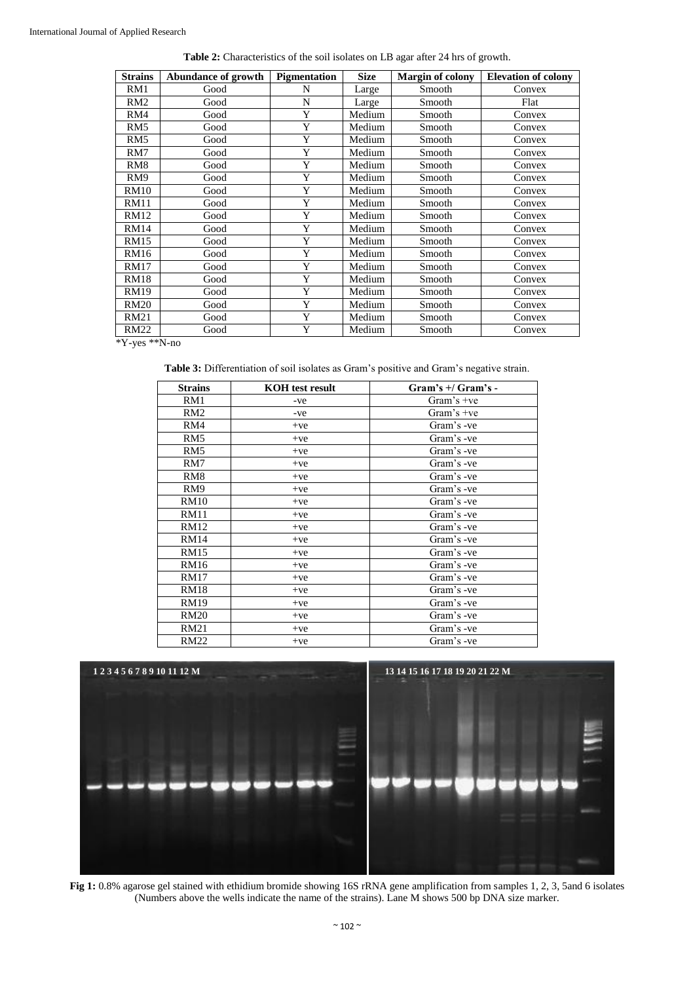|  |  | Table 2: Characteristics of the soil isolates on LB agar after 24 hrs of growth. |  |  |  |  |
|--|--|----------------------------------------------------------------------------------|--|--|--|--|
|--|--|----------------------------------------------------------------------------------|--|--|--|--|

| <b>Strains</b>  | Abundance of growth | Pigmentation | <b>Size</b> | <b>Margin of colony</b> | <b>Elevation of colony</b> |
|-----------------|---------------------|--------------|-------------|-------------------------|----------------------------|
| RM1             | Good                | N            | Large       | Smooth                  | Convex                     |
| RM2             | Good                | N            | Large       | Smooth                  | Flat                       |
| RM4             | Good                | Y            | Medium      | Smooth                  | Convex                     |
| RM <sub>5</sub> | Good                | Y            | Medium      | Smooth                  | Convex                     |
| RM5             | Good                | Y            | Medium      | Smooth                  | Convex                     |
| RM7             | Good                | Y            | Medium      | Smooth                  | Convex                     |
| RM <sub>8</sub> | Good                | Y            | Medium      | Smooth                  | Convex                     |
| RM <sub>9</sub> | Good                | Y            | Medium      | Smooth                  | Convex                     |
| <b>RM10</b>     | Good                | Y            | Medium      | Smooth                  | Convex                     |
| <b>RM11</b>     | Good                | Y            | Medium      | Smooth                  | Convex                     |
| <b>RM12</b>     | Good                | Y            | Medium      | Smooth                  | Convex                     |
| <b>RM14</b>     | Good                | Y            | Medium      | Smooth                  | Convex                     |
| <b>RM15</b>     | Good                | Y            | Medium      | Smooth                  | Convex                     |
| <b>RM16</b>     | Good                | Y            | Medium      | Smooth                  | Convex                     |
| <b>RM17</b>     | Good                | Y            | Medium      | Smooth                  | Convex                     |
| <b>RM18</b>     | Good                | Y            | Medium      | Smooth                  | Convex                     |
| <b>RM19</b>     | Good                | Y            | Medium      | Smooth                  | Convex                     |
| <b>RM20</b>     | Good                | Y            | Medium      | Smooth                  | Convex                     |
| <b>RM21</b>     | Good                | Y            | Medium      | Smooth                  | Convex                     |
| <b>RM22</b>     | Good                | Y            | Medium      | Smooth                  | Convex                     |

\*Y-yes \*\*N-no

**Table 3:** Differentiation of soil isolates as Gram's positive and Gram's negative strain.

| <b>Strains</b>  | <b>KOH</b> test result | $Gram's + / Gram's -$ |
|-----------------|------------------------|-----------------------|
| RM1             | -ve                    | Gram's $+ve$          |
| RM2             | -ve                    | Gram's $+ve$          |
| RM4             | $+ve$                  | Gram's -ve            |
| RM <sub>5</sub> | $+ve$                  | Gram's -ve            |
| RM <sub>5</sub> | $+ve$                  | Gram's -ve            |
| RM7             | $+ve$                  | Gram's -ve            |
| RM <sub>8</sub> | $+ve$                  | Gram's -ve            |
| RM9             | $+ve$                  | Gram's -ve            |
| <b>RM10</b>     | $+ve$                  | Gram's -ve            |
| <b>RM11</b>     | $+ve$                  | Gram's -ve            |
| RM12            | $+ve$                  | Gram's -ve            |
| <b>RM14</b>     | $+ve$                  | Gram's -ve            |
| RM15            | $+ve$                  | Gram's -ve            |
| <b>RM16</b>     | $+ve$                  | Gram's -ve            |
| <b>RM17</b>     | $+ve$                  | Gram's -ve            |
| <b>RM18</b>     | $+ve$                  | Gram's -ve            |
| <b>RM19</b>     | $+ve$                  | Gram's -ve            |
| <b>RM20</b>     | $+ve$                  | Gram's -ve            |
| RM21            | $+ve$                  | Gram's -ve            |
| <b>RM22</b>     | $+ve$                  | Gram's -ve            |



**Fig 1:** 0.8% agarose gel stained with ethidium bromide showing 16S rRNA gene amplification from samples 1, 2, 3, 5and 6 isolates (Numbers above the wells indicate the name of the strains). Lane M shows 500 bp DNA size marker.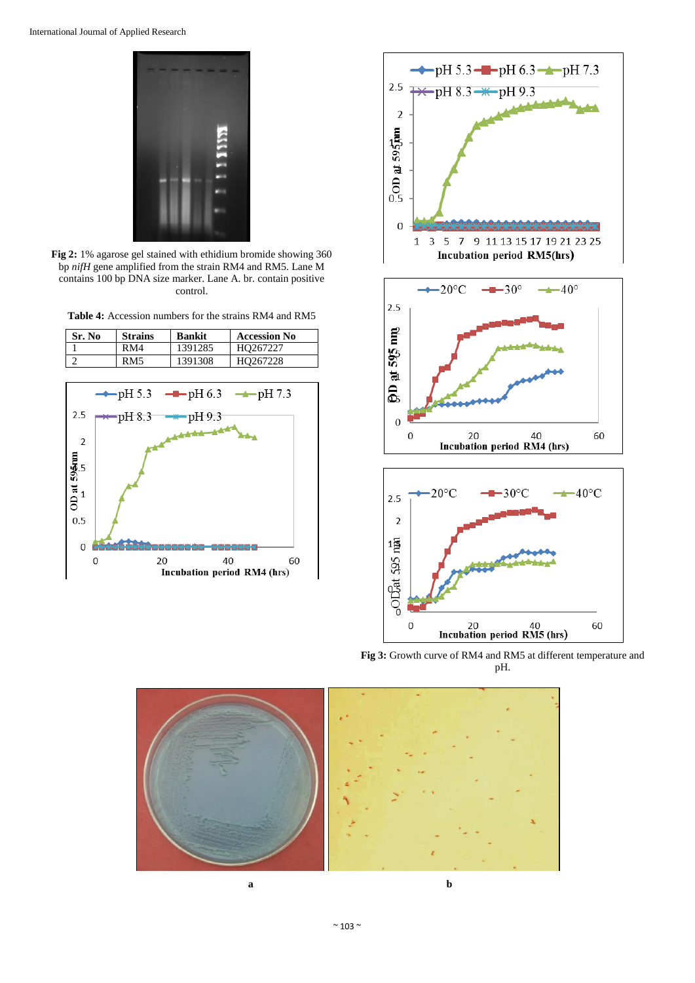

**Fig 2:** 1% agarose gel stained with ethidium bromide showing 360 bp *nifH* gene amplified from the strain RM4 and RM5. Lane M contains 100 bp DNA size marker. Lane A. br. contain positive control.

**Table 4:** Accession numbers for the strains RM4 and RM5







**Fig 3:** Growth curve of RM4 and RM5 at different temperature and pH.

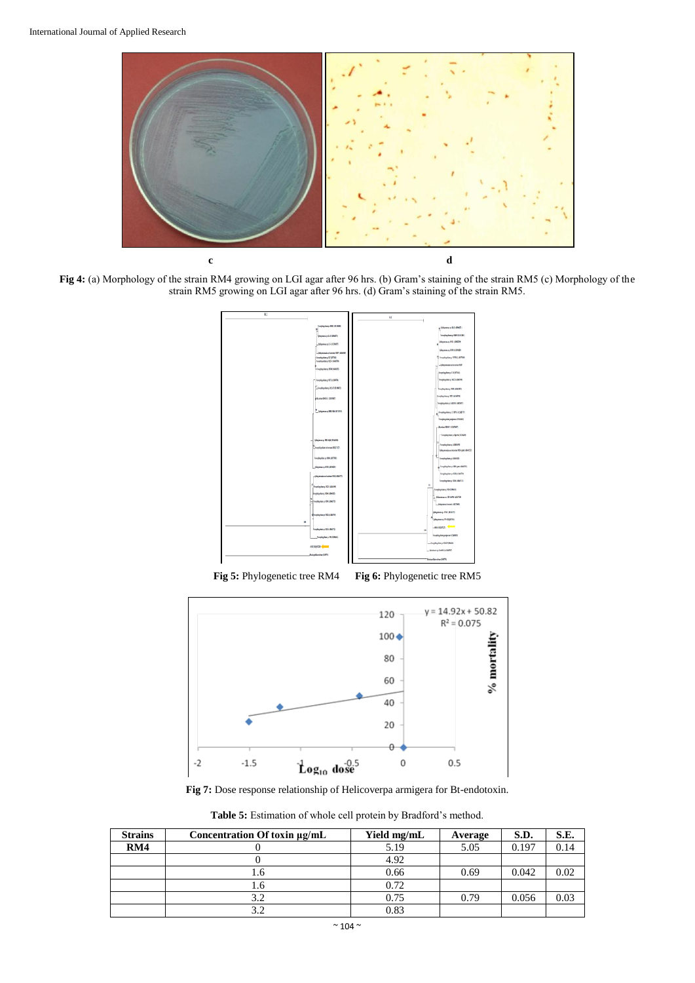

**Fig 4:** (a) Morphology of the strain RM4 growing on LGI agar after 96 hrs. (b) Gram's staining of the strain RM5 (c) Morphology of the strain RM5 growing on LGI agar after 96 hrs. (d) Gram's staining of the strain RM5.



**Fig 5:** Phylogenetic tree RM4 **Fig 6:** Phylogenetic tree RM5



**Fig 7:** Dose response relationship of Helicoverpa armigera for Bt-endotoxin.

**Table 5:** Estimation of whole cell protein by Bradford's method.

| <b>Strains</b> | Concentration Of toxin $\mu$ g/mL | Yield mg/mL | Average | S.D.  | S.E.     |
|----------------|-----------------------------------|-------------|---------|-------|----------|
| RM4            |                                   | 5.19        | 5.05    | 0.197 |          |
|                |                                   | 4.92        |         |       |          |
|                |                                   | 0.66        | 0.69    | 0.042 | 0.02     |
|                |                                   | 0.72        |         |       |          |
|                | 3.2                               | 0.75        | 0.79    | 0.056 | $0.03\,$ |
|                |                                   | 0.83        |         |       |          |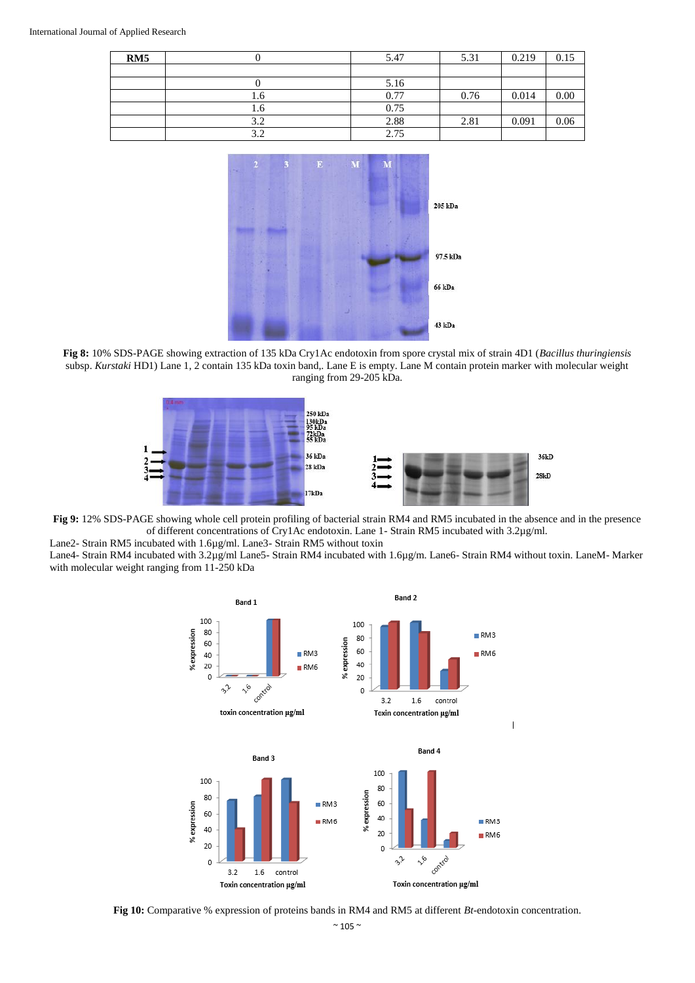| RM5 |     | 5.47 | 5.31 | 0.219 | 0.15 |
|-----|-----|------|------|-------|------|
|     |     |      |      |       |      |
|     |     | 5.16 |      |       |      |
|     | 1.6 | 0.77 | 0.76 | 0.014 | 0.00 |
|     | l.6 | 0.75 |      |       |      |
|     | 3.2 | 2.88 | 2.81 | 0.091 | 0.06 |
|     | 3.2 | 2.75 |      |       |      |



**Fig 8:** 10% SDS-PAGE showing extraction of 135 kDa Cry1Ac endotoxin from spore crystal mix of strain 4D1 (*Bacillus thuringiensis* subsp. *Kurstaki* HD1) Lane 1, 2 contain 135 kDa toxin band,. Lane E is empty. Lane M contain protein marker with molecular weight ranging from 29-205 kDa.



**Fig 9:** 12% SDS-PAGE showing whole cell protein profiling of bacterial strain RM4 and RM5 incubated in the absence and in the presence of different concentrations of Cry1Ac endotoxin. Lane 1- Strain RM5 incubated with 3.2µg/ml.

Lane2- Strain RM5 incubated with 1.6µg/ml. Lane3- Strain RM5 without toxin Lane4- Strain RM4 incubated with 3.2µg/ml Lane5- Strain RM4 incubated with 1.6µg/m. Lane6- Strain RM4 without toxin. LaneM- Marker with molecular weight ranging from 11-250 kDa



**Fig 10:** Comparative % expression of proteins bands in RM4 and RM5 at different *Bt-*endotoxin concentration.